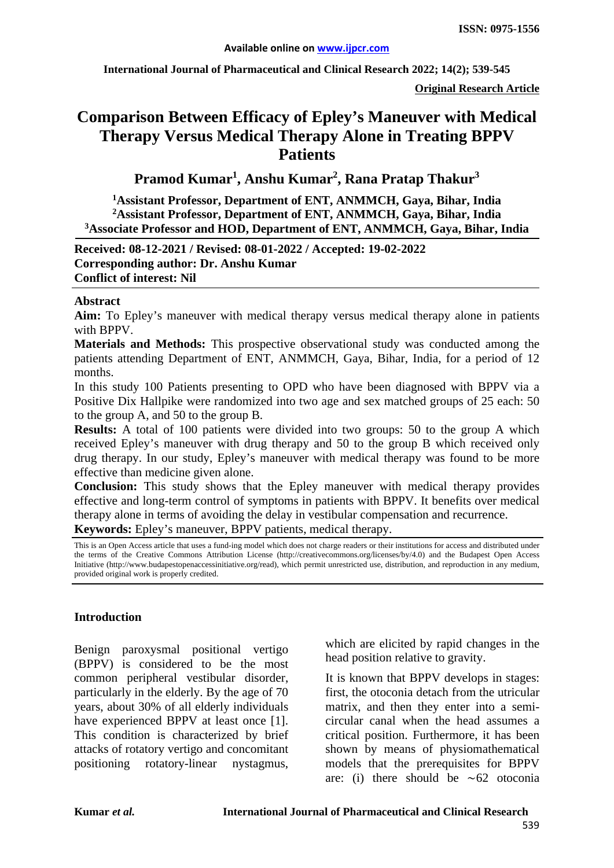**International Journal of Pharmaceutical and Clinical Research 2022; 14(2); 539-545**

**Original Research Article**

# **Comparison Between Efficacy of Epley's Maneuver with Medical Therapy Versus Medical Therapy Alone in Treating BPPV Patients**

**Pramod Kumar1 , Anshu Kumar2 , Rana Pratap Thakur3**

**1 Assistant Professor, Department of ENT, ANMMCH, Gaya, Bihar, India 2 Assistant Professor, Department of ENT, ANMMCH, Gaya, Bihar, India 3Associate Professor and HOD, Department of ENT, ANMMCH, Gaya, Bihar, India**

**Received: 08-12-2021 / Revised: 08-01-2022 / Accepted: 19-02-2022 Corresponding author: Dr. Anshu Kumar Conflict of interest: Nil**

#### **Abstract**

**Aim:** To Epley's maneuver with medical therapy versus medical therapy alone in patients with BPPV.

**Materials and Methods:** This prospective observational study was conducted among the patients attending Department of ENT, ANMMCH, Gaya, Bihar, India, for a period of 12 months.

In this study 100 Patients presenting to OPD who have been diagnosed with BPPV via a Positive Dix Hallpike were randomized into two age and sex matched groups of 25 each: 50 to the group A, and 50 to the group B.

**Results:** A total of 100 patients were divided into two groups: 50 to the group A which received Epley's maneuver with drug therapy and 50 to the group B which received only drug therapy. In our study, Epley's maneuver with medical therapy was found to be more effective than medicine given alone.

**Conclusion:** This study shows that the Epley maneuver with medical therapy provides effective and long-term control of symptoms in patients with BPPV. It benefits over medical therapy alone in terms of avoiding the delay in vestibular compensation and recurrence.

**Keywords:** Epley's maneuver, BPPV patients, medical therapy.

This is an Open Access article that uses a fund-ing model which does not charge readers or their institutions for access and distributed under the terms of the Creative Commons Attribution License (http://creativecommons.org/licenses/by/4.0) and the Budapest Open Access Initiative (http://www.budapestopenaccessinitiative.org/read), which permit unrestricted use, distribution, and reproduction in any medium, provided original work is properly credited.

# **Introduction**

Benign paroxysmal positional vertigo (BPPV) is considered to be the most common peripheral vestibular disorder, particularly in the elderly. By the age of 70 years, about 30% of all elderly individuals have experienced BPPV at least once [1]. This condition is characterized by brief attacks of rotatory vertigo and concomitant positioning rotatory-linear nystagmus, which are elicited by rapid changes in the head position relative to gravity.

It is known that BPPV develops in stages: first, the otoconia detach from the utricular matrix, and then they enter into a semicircular canal when the head assumes a critical position. Furthermore, it has been shown by means of physiomathematical models that the prerequisites for BPPV are: (i) there should be ∼62 otoconia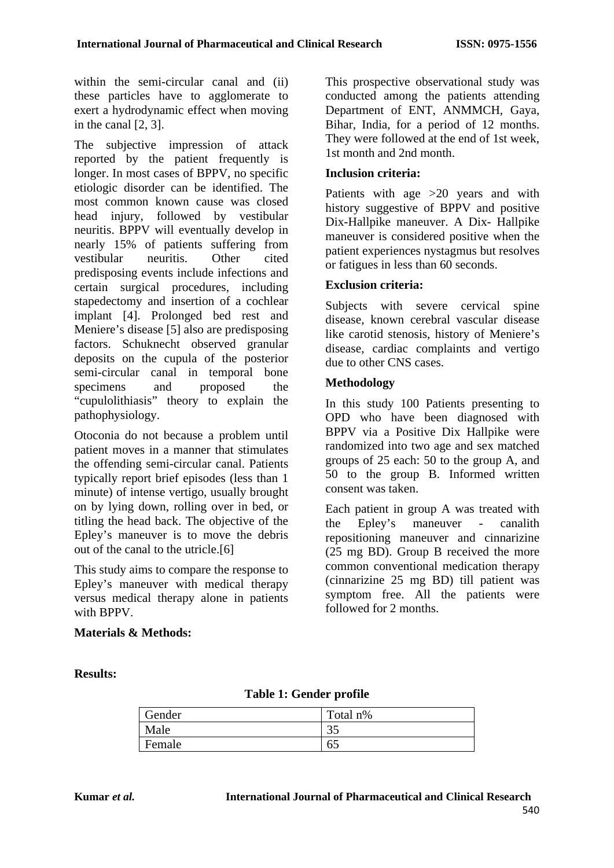within the semi-circular canal and (ii) these particles have to agglomerate to exert a hydrodynamic effect when moving in the canal [2, 3].

The subjective impression of attack reported by the patient frequently is longer. In most cases of BPPV, no specific etiologic disorder can be identified. The most common known cause was closed head injury, followed by vestibular neuritis. BPPV will eventually develop in nearly 15% of patients suffering from vestibular neuritis. Other cited predisposing events include infections and certain surgical procedures, including stapedectomy and insertion of a cochlear implant [4]. Prolonged bed rest and Meniere's disease [5] also are predisposing factors. Schuknecht observed granular deposits on the cupula of the posterior semi-circular canal in temporal bone specimens and proposed the "cupulolithiasis" theory to explain the pathophysiology.

Otoconia do not because a problem until patient moves in a manner that stimulates the offending semi-circular canal. Patients typically report brief episodes (less than 1 minute) of intense vertigo, usually brought on by lying down, rolling over in bed, or titling the head back. The objective of the Epley's maneuver is to move the debris out of the canal to the utricle.[6]

This study aims to compare the response to Epley's maneuver with medical therapy versus medical therapy alone in patients with BPPV.

# **Materials & Methods:**

This prospective observational study was conducted among the patients attending Department of ENT, ANMMCH, Gaya, Bihar, India, for a period of 12 months. They were followed at the end of 1st week, 1st month and 2nd month.

# **Inclusion criteria:**

Patients with age >20 years and with history suggestive of BPPV and positive Dix-Hallpike maneuver. A Dix- Hallpike maneuver is considered positive when the patient experiences nystagmus but resolves or fatigues in less than 60 seconds.

# **Exclusion criteria:**

Subjects with severe cervical spine disease, known cerebral vascular disease like carotid stenosis, history of Meniere's disease, cardiac complaints and vertigo due to other CNS cases.

#### **Methodology**

In this study 100 Patients presenting to OPD who have been diagnosed with BPPV via a Positive Dix Hallpike were randomized into two age and sex matched groups of 25 each: 50 to the group A, and 50 to the group B. Informed written consent was taken.

Each patient in group A was treated with the Epley's maneuver - canalith repositioning maneuver and cinnarizine (25 mg BD). Group B received the more common conventional medication therapy (cinnarizine 25 mg BD) till patient was symptom free. All the patients were followed for 2 months.

**Results:**

# **Table 1: Gender profile**

| Gender | Total n% |
|--------|----------|
| Male   | つよ<br>JJ |
| Female | 65       |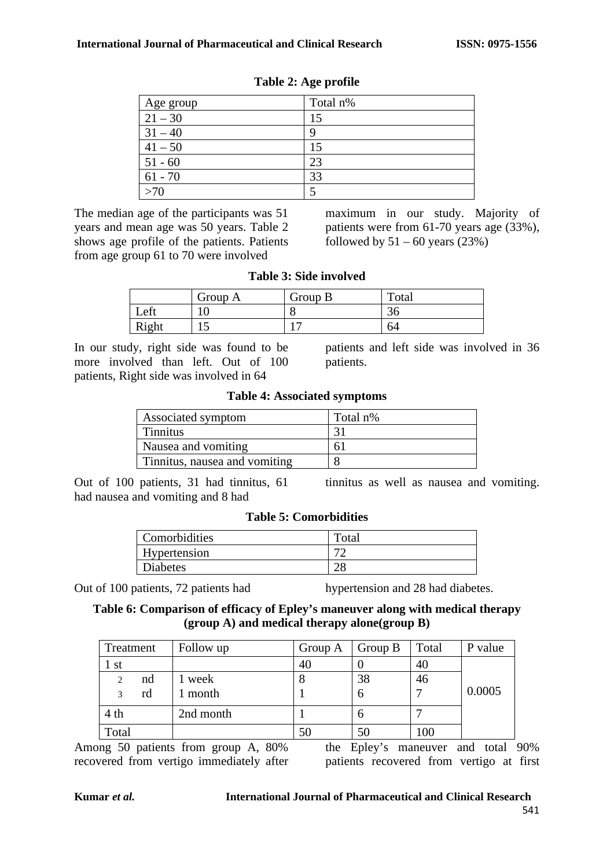| Age group | Total n% |
|-----------|----------|
| $21 - 30$ | 15       |
| $31 - 40$ |          |
| $41 - 50$ |          |
| $51 - 60$ | 23       |
| $61 - 70$ | 33       |
| >70       |          |

| Table 2: Age profile |  |  |  |  |
|----------------------|--|--|--|--|
|----------------------|--|--|--|--|

The median age of the participants was 51 years and mean age was 50 years. Table 2 shows age profile of the patients. Patients from age group 61 to 70 were involved

maximum in our study. Majority of patients were from 61-70 years age (33%), followed by  $51 - 60$  years (23%)

| <b>Table 3: Side involved</b> |  |  |  |  |
|-------------------------------|--|--|--|--|
|-------------------------------|--|--|--|--|

|       | Group A | Group B | Total        |
|-------|---------|---------|--------------|
| Left  | 1 V     | O       | $\sim$<br>ЭU |
| Right | ⊥ັ      |         | 64           |

In our study, right side was found to be more involved than left. Out of 100 patients, Right side was involved in 64

patients and left side was involved in 36 patients.

|  |  | <b>Table 4: Associated symptoms</b> |  |
|--|--|-------------------------------------|--|
|--|--|-------------------------------------|--|

| Associated symptom            | Total n% |
|-------------------------------|----------|
| <b>Tinnitus</b>               |          |
| Nausea and vomiting           | 61       |
| Tinnitus, nausea and vomiting |          |

Out of 100 patients, 31 had tinnitus, 61 had nausea and vomiting and 8 had

tinnitus as well as nausea and vomiting.

|  |  | <b>Table 5: Comorbidities</b> |
|--|--|-------------------------------|
|--|--|-------------------------------|

| Comorbidities | Total         |
|---------------|---------------|
| Hypertension  | $\mathcal{L}$ |
| Diabetes      | ⌒             |

Out of 100 patients, 72 patients had hypertension and 28 had diabetes.

# **Table 6: Comparison of efficacy of Epley's maneuver along with medical therapy (group A) and medical therapy alone(group B)**

| Treatment           | Follow up | Group A | Group B | Total | P value |
|---------------------|-----------|---------|---------|-------|---------|
| -st                 |           | 40      |         | 40    |         |
| nd<br>2             | week      |         | 38      | 46    |         |
| rd<br>$\mathcal{R}$ | month     |         | O       |       | 0.0005  |
| 4 <sub>th</sub>     | 2nd month |         | О       |       |         |
| Total               |           | 50      | 50      | 100   |         |

Among 50 patients from group A, 80% recovered from vertigo immediately after

the Epley's maneuver and total 90% patients recovered from vertigo at first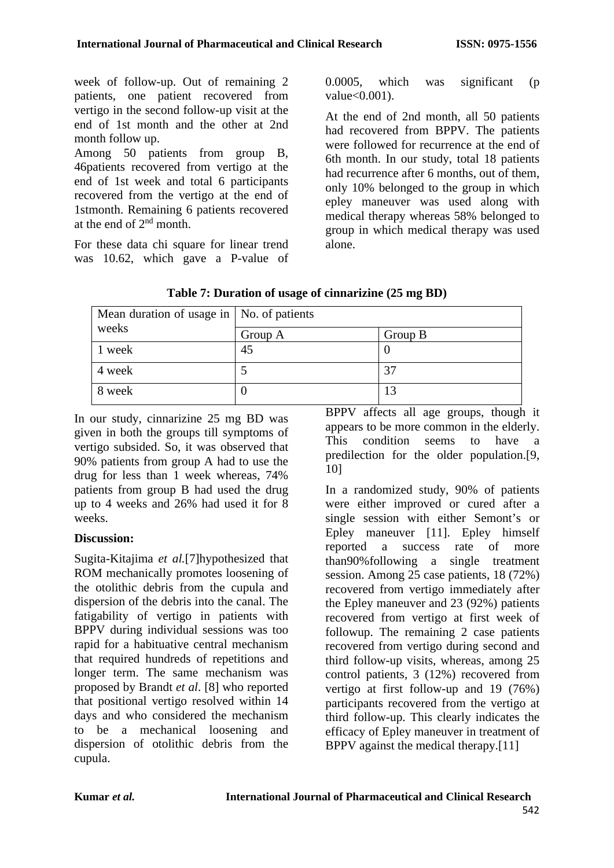week of follow-up. Out of remaining 2 patients, one patient recovered from vertigo in the second follow-up visit at the end of 1st month and the other at 2nd month follow up.

Among 50 patients from group B, 46patients recovered from vertigo at the end of 1st week and total 6 participants recovered from the vertigo at the end of 1stmonth. Remaining 6 patients recovered at the end of  $2<sup>nd</sup>$  month.

For these data chi square for linear trend was 10.62, which gave a P-value of 0.0005, which was significant (p value<0.001).

At the end of 2nd month, all 50 patients had recovered from BPPV. The patients were followed for recurrence at the end of 6th month. In our study, total 18 patients had recurrence after 6 months, out of them, only 10% belonged to the group in which epley maneuver was used along with medical therapy whereas 58% belonged to group in which medical therapy was used alone.

| Mean duration of usage in   No. of patients |         |         |  |
|---------------------------------------------|---------|---------|--|
| weeks                                       | Group A | Group B |  |
| 1 week                                      | 45      |         |  |
| 4 week                                      |         | 37      |  |
| 8 week                                      |         | 13      |  |

**Table 7: Duration of usage of cinnarizine (25 mg BD)**

In our study, cinnarizine 25 mg BD was given in both the groups till symptoms of vertigo subsided. So, it was observed that 90% patients from group A had to use the drug for less than 1 week whereas, 74% patients from group B had used the drug up to 4 weeks and 26% had used it for 8 weeks.

# **Discussion:**

Sugita-Kitajima *et al.*[7]hypothesized that ROM mechanically promotes loosening of the otolithic debris from the cupula and dispersion of the debris into the canal. The fatigability of vertigo in patients with BPPV during individual sessions was too rapid for a habituative central mechanism that required hundreds of repetitions and longer term. The same mechanism was proposed by Brandt *et al*. [8] who reported that positional vertigo resolved within 14 days and who considered the mechanism to be a mechanical loosening and dispersion of otolithic debris from the cupula.

BPPV affects all age groups, though it appears to be more common in the elderly. This condition seems to have a predilection for the older population.[9, 10]

In a randomized study, 90% of patients were either improved or cured after a single session with either Semont's or Epley maneuver [11]. Epley himself reported a success rate of more than90%following a single treatment session. Among 25 case patients, 18 (72%) recovered from vertigo immediately after the Epley maneuver and 23 (92%) patients recovered from vertigo at first week of followup. The remaining 2 case patients recovered from vertigo during second and third follow-up visits, whereas, among 25 control patients, 3 (12%) recovered from vertigo at first follow-up and 19 (76%) participants recovered from the vertigo at third follow-up. This clearly indicates the efficacy of Epley maneuver in treatment of BPPV against the medical therapy.[11]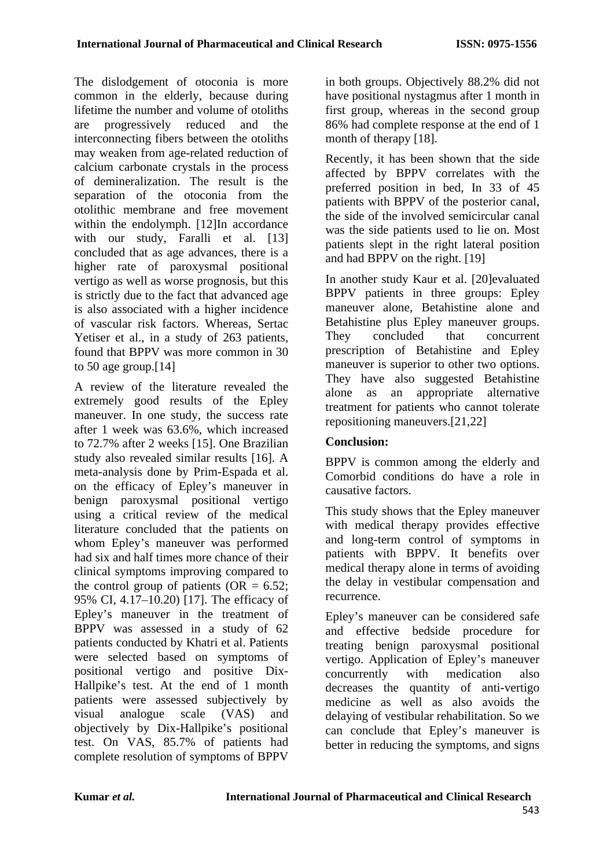The dislodgement of otoconia is more common in the elderly, because during lifetime the number and volume of otoliths are progressively reduced and the interconnecting fibers between the otoliths may weaken from age-related reduction of calcium carbonate crystals in the process of demineralization. The result is the separation of the otoconia from the otolithic membrane and free movement within the endolymph. [12]In accordance with our study, Faralli et al. [13] concluded that as age advances, there is a higher rate of paroxysmal positional vertigo as well as worse prognosis, but this is strictly due to the fact that advanced age is also associated with a higher incidence of vascular risk factors. Whereas, Sertac Yetiser et al., in a study of 263 patients, found that BPPV was more common in 30 to 50 age group.[14]

A review of the literature revealed the extremely good results of the Epley maneuver. In one study, the success rate after 1 week was 63.6%, which increased to 72.7% after 2 weeks [15]. One Brazilian study also revealed similar results [16]. A meta-analysis done by Prim-Espada et al. on the efficacy of Epley's maneuver in benign paroxysmal positional vertigo using a critical review of the medical literature concluded that the patients on whom Epley's maneuver was performed had six and half times more chance of their clinical symptoms improving compared to the control group of patients (OR  $= 6.52$ ; 95% CI, 4.17–10.20) [17]. The efficacy of Epley's maneuver in the treatment of BPPV was assessed in a study of 62 patients conducted by Khatri et al. Patients were selected based on symptoms of positional vertigo and positive Dix-Hallpike's test. At the end of 1 month patients were assessed subjectively by visual analogue scale (VAS) and objectively by Dix-Hallpike's positional test. On VAS, 85.7% of patients had complete resolution of symptoms of BPPV

in both groups. Objectively 88.2% did not have positional nystagmus after 1 month in first group, whereas in the second group 86% had complete response at the end of 1 month of therapy [18].

Recently, it has been shown that the side affected by BPPV correlates with the preferred position in bed, In 33 of 45 patients with BPPV of the posterior canal, the side of the involved semicircular canal was the side patients used to lie on. Most patients slept in the right lateral position and had BPPV on the right. [19]

In another study Kaur et al. [20]evaluated BPPV patients in three groups: Epley maneuver alone, Betahistine alone and Betahistine plus Epley maneuver groups. They concluded that concurrent prescription of Betahistine and Epley maneuver is superior to other two options. They have also suggested Betahistine alone as an appropriate alternative treatment for patients who cannot tolerate repositioning maneuvers.[21,22]

# **Conclusion:**

BPPV is common among the elderly and Comorbid conditions do have a role in causative factors.

This study shows that the Epley maneuver with medical therapy provides effective and long-term control of symptoms in patients with BPPV. It benefits over medical therapy alone in terms of avoiding the delay in vestibular compensation and recurrence.

Epley's maneuver can be considered safe and effective bedside procedure for treating benign paroxysmal positional vertigo. Application of Epley's maneuver concurrently with medication also decreases the quantity of anti-vertigo medicine as well as also avoids the delaying of vestibular rehabilitation. So we can conclude that Epley's maneuver is better in reducing the symptoms, and signs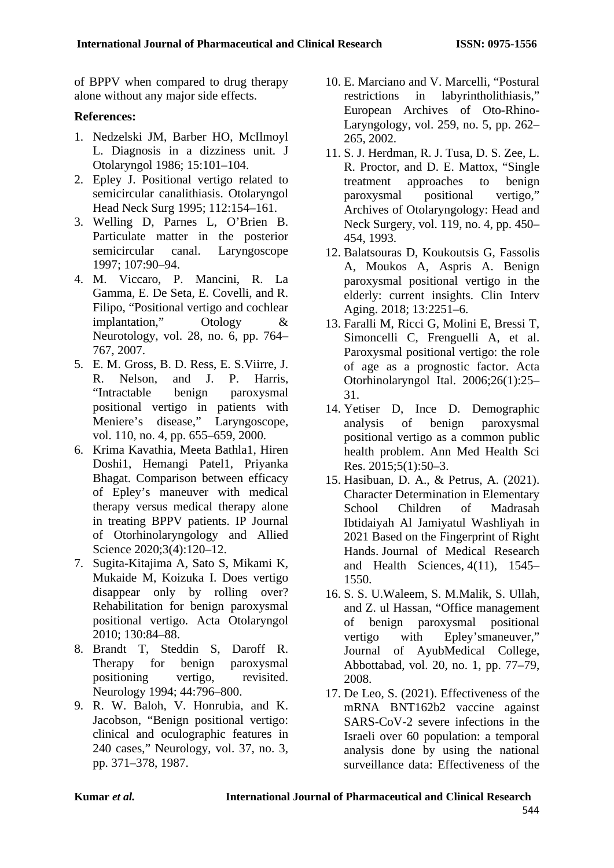of BPPV when compared to drug therapy alone without any major side effects.

# **References:**

- 1. Nedzelski JM, Barber HO, McIlmoyl L. Diagnosis in a dizziness unit. J Otolaryngol 1986; 15:101–104.
- 2. Epley J. Positional vertigo related to semicircular canalithiasis. Otolaryngol Head Neck Surg 1995; 112:154–161.
- 3. Welling D, Parnes L, O'Brien B. Particulate matter in the posterior semicircular canal. Laryngoscope 1997; 107:90–94.
- 4. M. Viccaro, P. Mancini, R. La Gamma, E. De Seta, E. Covelli, and R. Filipo, "Positional vertigo and cochlear implantation," Otology & Neurotology, vol. 28, no. 6, pp. 764– 767, 2007.
- 5. E. M. Gross, B. D. Ress, E. S.Viirre, J. R. Nelson, and J. P. Harris, "Intractable benign paroxysmal positional vertigo in patients with Meniere's disease," Laryngoscope, vol. 110, no. 4, pp. 655–659, 2000.
- 6. Krima Kavathia, Meeta Bathla1, Hiren Doshi1, Hemangi Patel1, Priyanka Bhagat. Comparison between efficacy of Epley's maneuver with medical therapy versus medical therapy alone in treating BPPV patients. IP Journal of Otorhinolaryngology and Allied Science 2020;3(4):120–12.
- 7. Sugita-Kitajima A, Sato S, Mikami K, Mukaide M, Koizuka I. Does vertigo disappear only by rolling over? Rehabilitation for benign paroxysmal positional vertigo. Acta Otolaryngol 2010; 130:84–88.
- 8. Brandt T, Steddin S, Daroff R. Therapy for benign paroxysmal positioning vertigo, revisited. Neurology 1994; 44:796–800.
- 9. R. W. Baloh, V. Honrubia, and K. Jacobson, "Benign positional vertigo: clinical and oculographic features in 240 cases," Neurology, vol. 37, no. 3, pp. 371–378, 1987.
- 10. E. Marciano and V. Marcelli, "Postural restrictions in labyrintholithiasis," European Archives of Oto-Rhino-Laryngology, vol. 259, no. 5, pp. 262– 265, 2002.
- 11. S. J. Herdman, R. J. Tusa, D. S. Zee, L. R. Proctor, and D. E. Mattox, "Single treatment approaches to benign paroxysmal positional vertigo," Archives of Otolaryngology: Head and Neck Surgery, vol. 119, no. 4, pp. 450– 454, 1993.
- 12. Balatsouras D, Koukoutsis G, Fassolis A, Moukos A, Aspris A. Benign paroxysmal positional vertigo in the elderly: current insights. Clin Interv Aging. 2018; 13:2251–6.
- 13. Faralli M, Ricci G, Molini E, Bressi T, Simoncelli C, Frenguelli A, et al. Paroxysmal positional vertigo: the role of age as a prognostic factor. Acta Otorhinolaryngol Ital. 2006;26(1):25– 31.
- 14. Yetiser D, Ince D. Demographic<br>analysis of benign paroxysmal analysis of benign paroxysmal positional vertigo as a common public health problem. Ann Med Health Sci Res. 2015;5(1):50–3.
- 15. Hasibuan, D. A., & Petrus, A. (2021). Character Determination in Elementary School Children of Madrasah Ibtidaiyah Al Jamiyatul Washliyah in 2021 Based on the Fingerprint of Right Hands. Journal of Medical Research and Health Sciences, 4(11), 1545– 1550.
- 16. S. S. U.Waleem, S. M.Malik, S. Ullah, and Z. ul Hassan, "Office management of benign paroxysmal positional vertigo with Epley'smaneuver," Journal of AyubMedical College, Abbottabad, vol. 20, no. 1, pp. 77–79, 2008.
- 17. De Leo, S. (2021). Effectiveness of the mRNA BNT162b2 vaccine against SARS-CoV-2 severe infections in the Israeli over 60 population: a temporal analysis done by using the national surveillance data: Effectiveness of the